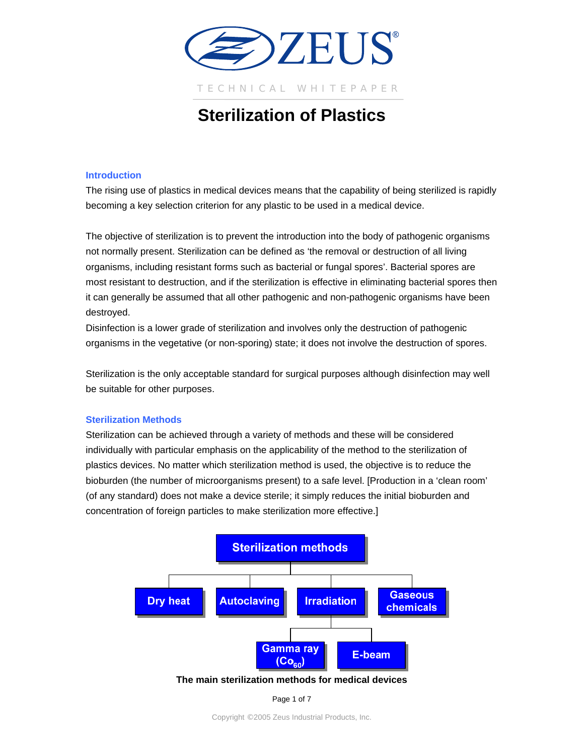

# **Sterilization of Plastics**

# **Introduction**

The rising use of plastics in medical devices means that the capability of being sterilized is rapidly becoming a key selection criterion for any plastic to be used in a medical device.

The objective of sterilization is to prevent the introduction into the body of pathogenic organisms not normally present. Sterilization can be defined as 'the removal or destruction of all living organisms, including resistant forms such as bacterial or fungal spores'. Bacterial spores are most resistant to destruction, and if the sterilization is effective in eliminating bacterial spores then it can generally be assumed that all other pathogenic and non-pathogenic organisms have been destroyed.

Disinfection is a lower grade of sterilization and involves only the destruction of pathogenic organisms in the vegetative (or non-sporing) state; it does not involve the destruction of spores.

Sterilization is the only acceptable standard for surgical purposes although disinfection may well be suitable for other purposes.

# **Sterilization Methods**

Sterilization can be achieved through a variety of methods and these will be considered individually with particular emphasis on the applicability of the method to the sterilization of plastics devices. No matter which sterilization method is used, the objective is to reduce the bioburden (the number of microorganisms present) to a safe level. [Production in a 'clean room' (of any standard) does not make a device sterile; it simply reduces the initial bioburden and concentration of foreign particles to make sterilization more effective.]



# **The main sterilization methods for medical devices**

Page 1 of 7

Copyright ©2005 Zeus Industrial Products, Inc.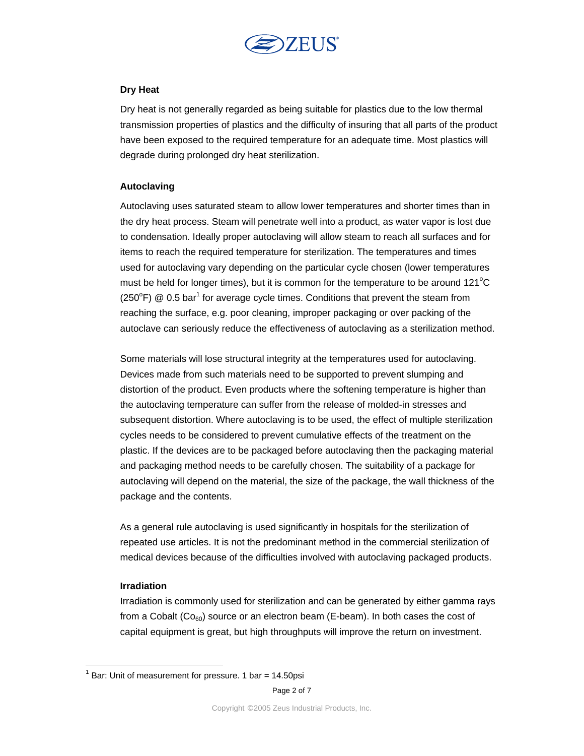

# **Dry Heat**

Dry heat is not generally regarded as being suitable for plastics due to the low thermal transmission properties of plastics and the difficulty of insuring that all parts of the product have been exposed to the required temperature for an adequate time. Most plastics will degrade during prolonged dry heat sterilization.

# **Autoclaving**

Autoclaving uses saturated steam to allow lower temperatures and shorter times than in the dry heat process. Steam will penetrate well into a product, as water vapor is lost due to condensation. Ideally proper autoclaving will allow steam to reach all surfaces and for items to reach the required temperature for sterilization. The temperatures and times used for autoclaving vary depending on the particular cycle chosen (lower temperatures must be held for longer times), but it is common for the temperature to be around 121 $^{\circ}$ C (250 $\degree$ F) @ 0.5 bar<sup>1</sup> for average cycle times. Conditions that prevent the steam from reaching the surface, e.g. poor cleaning, improper packaging or over packing of the autoclave can seriously reduce the effectiveness of autoclaving as a sterilization method.

Some materials will lose structural integrity at the temperatures used for autoclaving. Devices made from such materials need to be supported to prevent slumping and distortion of the product. Even products where the softening temperature is higher than the autoclaving temperature can suffer from the release of molded-in stresses and subsequent distortion. Where autoclaving is to be used, the effect of multiple sterilization cycles needs to be considered to prevent cumulative effects of the treatment on the plastic. If the devices are to be packaged before autoclaving then the packaging material and packaging method needs to be carefully chosen. The suitability of a package for autoclaving will depend on the material, the size of the package, the wall thickness of the package and the contents.

As a general rule autoclaving is used significantly in hospitals for the sterilization of repeated use articles. It is not the predominant method in the commercial sterilization of medical devices because of the difficulties involved with autoclaving packaged products.

# **Irradiation**

 $\overline{a}$ 

Irradiation is commonly used for sterilization and can be generated by either gamma rays from a Cobalt ( $Co<sub>60</sub>$ ) source or an electron beam (E-beam). In both cases the cost of capital equipment is great, but high throughputs will improve the return on investment.

 $1$  Bar: Unit of measurement for pressure. 1 bar = 14.50psi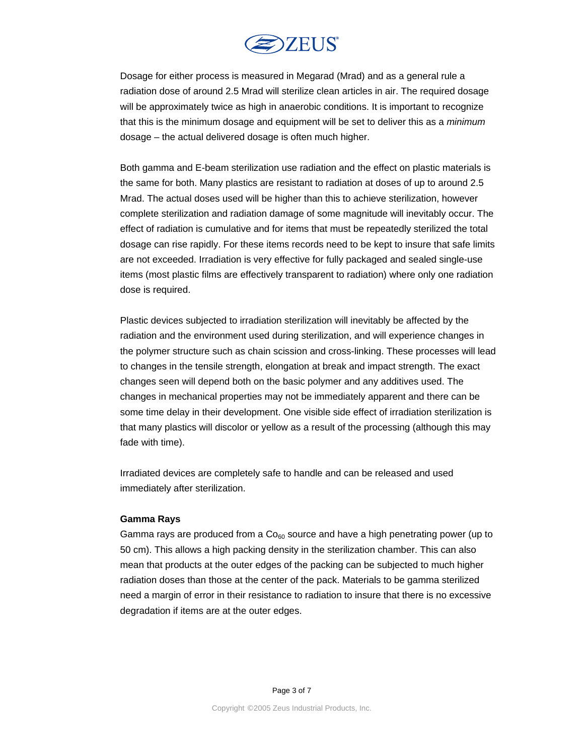

Dosage for either process is measured in Megarad (Mrad) and as a general rule a radiation dose of around 2.5 Mrad will sterilize clean articles in air. The required dosage will be approximately twice as high in anaerobic conditions. It is important to recognize that this is the minimum dosage and equipment will be set to deliver this as a *minimum* dosage – the actual delivered dosage is often much higher.

Both gamma and E-beam sterilization use radiation and the effect on plastic materials is the same for both. Many plastics are resistant to radiation at doses of up to around 2.5 Mrad. The actual doses used will be higher than this to achieve sterilization, however complete sterilization and radiation damage of some magnitude will inevitably occur. The effect of radiation is cumulative and for items that must be repeatedly sterilized the total dosage can rise rapidly. For these items records need to be kept to insure that safe limits are not exceeded. Irradiation is very effective for fully packaged and sealed single-use items (most plastic films are effectively transparent to radiation) where only one radiation dose is required.

Plastic devices subjected to irradiation sterilization will inevitably be affected by the radiation and the environment used during sterilization, and will experience changes in the polymer structure such as chain scission and cross-linking. These processes will lead to changes in the tensile strength, elongation at break and impact strength. The exact changes seen will depend both on the basic polymer and any additives used. The changes in mechanical properties may not be immediately apparent and there can be some time delay in their development. One visible side effect of irradiation sterilization is that many plastics will discolor or yellow as a result of the processing (although this may fade with time).

Irradiated devices are completely safe to handle and can be released and used immediately after sterilization.

### **Gamma Rays**

Gamma rays are produced from a  $Co<sub>60</sub>$  source and have a high penetrating power (up to 50 cm). This allows a high packing density in the sterilization chamber. This can also mean that products at the outer edges of the packing can be subjected to much higher radiation doses than those at the center of the pack. Materials to be gamma sterilized need a margin of error in their resistance to radiation to insure that there is no excessive degradation if items are at the outer edges.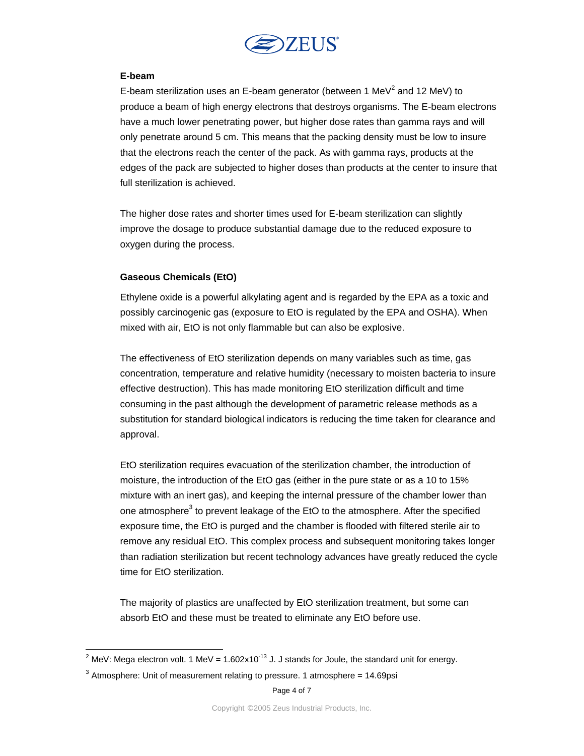

# **E-beam**

E-beam sterilization uses an E-beam generator (between 1 MeV<sup>2</sup> and 12 MeV) to produce a beam of high energy electrons that destroys organisms. The E-beam electrons have a much lower penetrating power, but higher dose rates than gamma rays and will only penetrate around 5 cm. This means that the packing density must be low to insure that the electrons reach the center of the pack. As with gamma rays, products at the edges of the pack are subjected to higher doses than products at the center to insure that full sterilization is achieved.

The higher dose rates and shorter times used for E-beam sterilization can slightly improve the dosage to produce substantial damage due to the reduced exposure to oxygen during the process.

# **Gaseous Chemicals (EtO)**

Ethylene oxide is a powerful alkylating agent and is regarded by the EPA as a toxic and possibly carcinogenic gas (exposure to EtO is regulated by the EPA and OSHA). When mixed with air, EtO is not only flammable but can also be explosive.

The effectiveness of EtO sterilization depends on many variables such as time, gas concentration, temperature and relative humidity (necessary to moisten bacteria to insure effective destruction). This has made monitoring EtO sterilization difficult and time consuming in the past although the development of parametric release methods as a substitution for standard biological indicators is reducing the time taken for clearance and approval.

EtO sterilization requires evacuation of the sterilization chamber, the introduction of moisture, the introduction of the EtO gas (either in the pure state or as a 10 to 15% mixture with an inert gas), and keeping the internal pressure of the chamber lower than one atmosphere<sup>3</sup> to prevent leakage of the EtO to the atmosphere. After the specified exposure time, the EtO is purged and the chamber is flooded with filtered sterile air to remove any residual EtO. This complex process and subsequent monitoring takes longer than radiation sterilization but recent technology advances have greatly reduced the cycle time for EtO sterilization.

The majority of plastics are unaffected by EtO sterilization treatment, but some can absorb EtO and these must be treated to eliminate any EtO before use.

 $\frac{2}{100}$  MeV: Mega electron volt. 1 MeV = 1.602x10<sup>-13</sup> J. J stands for Joule, the standard unit for energy.

 $3$  Atmosphere: Unit of measurement relating to pressure. 1 atmosphere = 14.69psi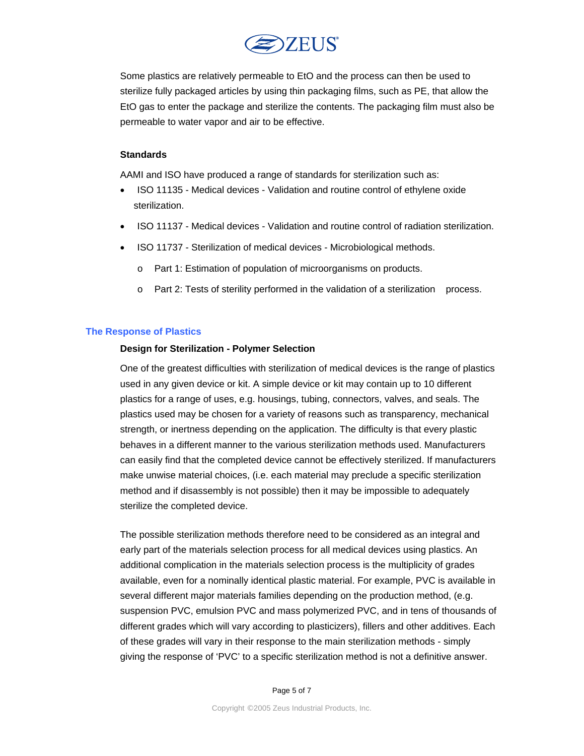

Some plastics are relatively permeable to EtO and the process can then be used to sterilize fully packaged articles by using thin packaging films, such as PE, that allow the EtO gas to enter the package and sterilize the contents. The packaging film must also be permeable to water vapor and air to be effective.

## **Standards**

AAMI and ISO have produced a range of standards for sterilization such as:

- ISO 11135 Medical devices Validation and routine control of ethylene oxide sterilization.
- ISO 11137 Medical devices Validation and routine control of radiation sterilization.
- ISO 11737 Sterilization of medical devices Microbiological methods.
	- o Part 1: Estimation of population of microorganisms on products.
	- o Part 2: Tests of sterility performed in the validation of a sterilization process.

## **The Response of Plastics**

### **Design for Sterilization - Polymer Selection**

One of the greatest difficulties with sterilization of medical devices is the range of plastics used in any given device or kit. A simple device or kit may contain up to 10 different plastics for a range of uses, e.g. housings, tubing, connectors, valves, and seals. The plastics used may be chosen for a variety of reasons such as transparency, mechanical strength, or inertness depending on the application. The difficulty is that every plastic behaves in a different manner to the various sterilization methods used. Manufacturers can easily find that the completed device cannot be effectively sterilized. If manufacturers make unwise material choices, (i.e. each material may preclude a specific sterilization method and if disassembly is not possible) then it may be impossible to adequately sterilize the completed device.

The possible sterilization methods therefore need to be considered as an integral and early part of the materials selection process for all medical devices using plastics. An additional complication in the materials selection process is the multiplicity of grades available, even for a nominally identical plastic material. For example, PVC is available in several different major materials families depending on the production method, (e.g. suspension PVC, emulsion PVC and mass polymerized PVC, and in tens of thousands of different grades which will vary according to plasticizers), fillers and other additives. Each of these grades will vary in their response to the main sterilization methods - simply giving the response of 'PVC' to a specific sterilization method is not a definitive answer.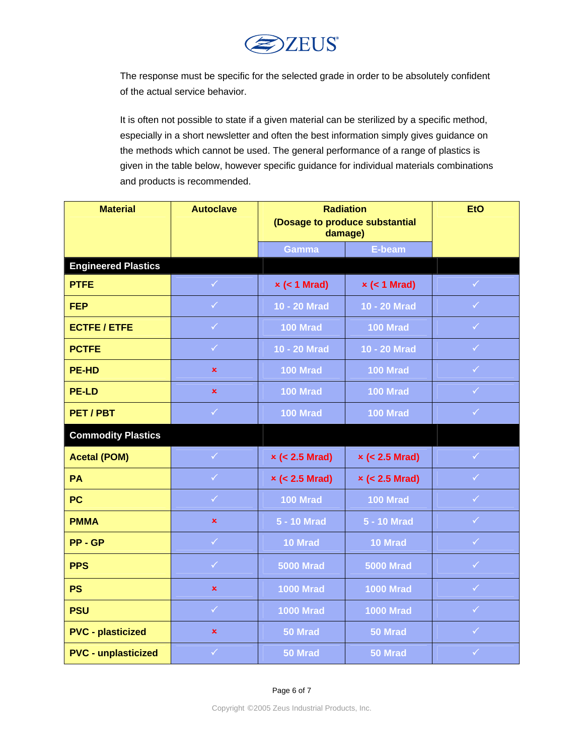

The response must be specific for the selected grade in order to be absolutely confident of the actual service behavior.

It is often not possible to state if a given material can be sterilized by a specific method, especially in a short newsletter and often the best information simply gives guidance on the methods which cannot be used. The general performance of a range of plastics is given in the table below, however specific guidance for individual materials combinations and products is recommended.

| <b>Material</b>            | <b>Autoclave</b> | <b>Radiation</b><br>(Dosage to produce substantial<br>damage) |                       | <b>EtO</b>   |
|----------------------------|------------------|---------------------------------------------------------------|-----------------------|--------------|
|                            |                  | <b>Gamma</b>                                                  | E-beam                |              |
| <b>Engineered Plastics</b> |                  |                                                               |                       |              |
| <b>PTFE</b>                | $\checkmark$     | $x$ (< 1 Mrad)                                                | $x$ (< 1 Mrad)        | $\checkmark$ |
| <b>FEP</b>                 | $\checkmark$     | 10 - 20 Mrad                                                  | 10 - 20 Mrad          | $\checkmark$ |
| <b>ECTFE/ETFE</b>          | $\checkmark$     | <b>100 Mrad</b>                                               | <b>100 Mrad</b>       | $\checkmark$ |
| <b>PCTFE</b>               | $\checkmark$     | 10 - 20 Mrad                                                  | 10 - 20 Mrad          | $\checkmark$ |
| <b>PE-HD</b>               | $\pmb{\times}$   | <b>100 Mrad</b>                                               | <b>100 Mrad</b>       | $\checkmark$ |
| <b>PE-LD</b>               | $\pmb{\times}$   | <b>100 Mrad</b>                                               | <b>100 Mrad</b>       | $\checkmark$ |
| PET/PBT                    | $\checkmark$     | <b>100 Mrad</b>                                               | <b>100 Mrad</b>       | $\checkmark$ |
| <b>Commodity Plastics</b>  |                  |                                                               |                       |              |
| <b>Acetal (POM)</b>        | $\checkmark$     | $x$ (< 2.5 Mrad)                                              | $\times$ (< 2.5 Mrad) | $\checkmark$ |
| <b>PA</b>                  | $\checkmark$     | $\times$ (< 2.5 Mrad)                                         | $\times$ (< 2.5 Mrad) | $\checkmark$ |
| <b>PC</b>                  | $\checkmark$     | <b>100 Mrad</b>                                               | <b>100 Mrad</b>       | $\checkmark$ |
| <b>PMMA</b>                | $\mathbf x$      | 5 - 10 Mrad                                                   | 5 - 10 Mrad           | $\checkmark$ |
| <b>PP-GP</b>               | $\checkmark$     | 10 Mrad                                                       | 10 Mrad               | $\checkmark$ |
| <b>PPS</b>                 | $\checkmark$     | <b>5000 Mrad</b>                                              | <b>5000 Mrad</b>      | $\checkmark$ |
| <b>PS</b>                  | $\mathbf x$      | <b>1000 Mrad</b>                                              | <b>1000 Mrad</b>      | $\checkmark$ |
| <b>PSU</b>                 | $\checkmark$     | <b>1000 Mrad</b>                                              | <b>1000 Mrad</b>      | $\checkmark$ |
| <b>PVC - plasticized</b>   | $\pmb{\times}$   | 50 Mrad                                                       | 50 Mrad               | $\checkmark$ |
| <b>PVC - unplasticized</b> | $\checkmark$     | 50 Mrad                                                       | 50 Mrad               | $\checkmark$ |